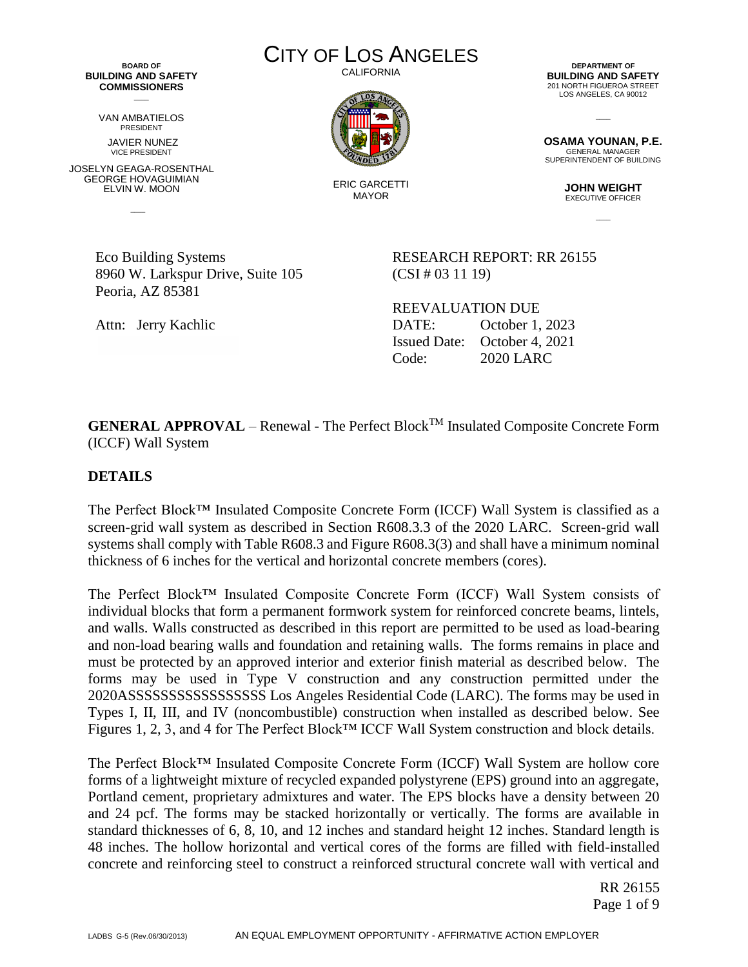**BOARD OF BUILDING AND SAFETY COMMISSIONERS**  $\overline{\phantom{a}}$ 

> VAN AMBATIELOS PRESIDENT JAVIER NUNEZ

VICE PRESIDENT JOSELYN GEAGA-ROSENTHAL GEORGE HOVAGUIMIAN ELVIN W. MOON

 $\sim$ 

Eco Building Systems 8960 W. Larkspur Drive, Suite 105 Peoria, AZ 85381

Attn: Jerry Kachlic

CITY OF LOS ANGELES CALIFORNIA



ERIC GARCETTI MAYOR

**DEPARTMENT OF BUILDING AND SAFETY** 201 NORTH FIGUEROA STREET LOS ANGELES, CA 90012

**OSAMA YOUNAN, P.E.** GENERAL MANAGER SUPERINTENDENT OF BUILDING

 $\overline{\phantom{a}}$ 

**JOHN WEIGHT** EXECUTIVE OFFICER

 $\overline{\phantom{a}}$ 

RESEARCH REPORT: RR 26155  $(CSI # 03 11 19)$ 

REEVALUATION DUE DATE: October 1, 2023 Issued Date: October 4, 2021 Code: 2020 LARC

**GENERAL APPROVAL** – Renewal - The Perfect Block<sup>TM</sup> Insulated Composite Concrete Form (ICCF) Wall System

#### **DETAILS**

The Perfect Block™ Insulated Composite Concrete Form (ICCF) Wall System is classified as a screen-grid wall system as described in Section R608.3.3 of the 2020 LARC. Screen-grid wall systems shall comply with Table R608.3 and Figure R608.3(3) and shall have a minimum nominal thickness of 6 inches for the vertical and horizontal concrete members (cores).

The Perfect Block™ Insulated Composite Concrete Form (ICCF) Wall System consists of individual blocks that form a permanent formwork system for reinforced concrete beams, lintels, and walls. Walls constructed as described in this report are permitted to be used as load-bearing and non-load bearing walls and foundation and retaining walls. The forms remains in place and must be protected by an approved interior and exterior finish material as described below. The forms may be used in Type V construction and any construction permitted under the 2020ASSSSSSSSSSSSSSSSS Los Angeles Residential Code (LARC). The forms may be used in Types I, II, III, and IV (noncombustible) construction when installed as described below. See Figures 1, 2, 3, and 4 for The Perfect Block™ ICCF Wall System construction and block details.

The Perfect Block™ Insulated Composite Concrete Form (ICCF) Wall System are hollow core forms of a lightweight mixture of recycled expanded polystyrene (EPS) ground into an aggregate, Portland cement, proprietary admixtures and water. The EPS blocks have a density between 20 and 24 pcf. The forms may be stacked horizontally or vertically. The forms are available in standard thicknesses of 6, 8, 10, and 12 inches and standard height 12 inches. Standard length is 48 inches. The hollow horizontal and vertical cores of the forms are filled with field-installed concrete and reinforcing steel to construct a reinforced structural concrete wall with vertical and

> RR 26155 Page 1 of 9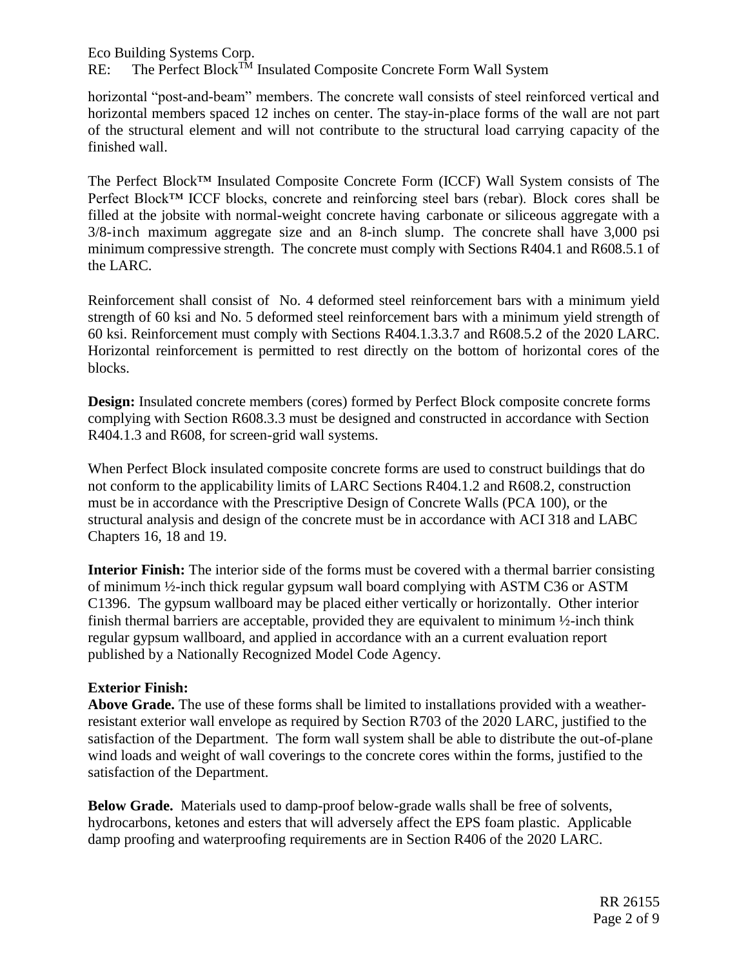Eco Building Systems Corp.

RE: The Perfect Block<sup>TM</sup> Insulated Composite Concrete Form Wall System

horizontal "post-and-beam" members. The concrete wall consists of steel reinforced vertical and horizontal members spaced 12 inches on center. The stay-in-place forms of the wall are not part of the structural element and will not contribute to the structural load carrying capacity of the finished wall.

The Perfect Block™ Insulated Composite Concrete Form (ICCF) Wall System consists of The Perfect Block™ ICCF blocks, concrete and reinforcing steel bars (rebar). Block cores shall be filled at the jobsite with normal-weight concrete having carbonate or siliceous aggregate with a 3/8-inch maximum aggregate size and an 8-inch slump. The concrete shall have 3,000 psi minimum compressive strength. The concrete must comply with Sections R404.1 and R608.5.1 of the LARC.

Reinforcement shall consist of No. 4 deformed steel reinforcement bars with a minimum yield strength of 60 ksi and No. 5 deformed steel reinforcement bars with a minimum yield strength of 60 ksi. Reinforcement must comply with Sections R404.1.3.3.7 and R608.5.2 of the 2020 LARC. Horizontal reinforcement is permitted to rest directly on the bottom of horizontal cores of the blocks.

**Design:** Insulated concrete members (cores) formed by Perfect Block composite concrete forms complying with Section R608.3.3 must be designed and constructed in accordance with Section R404.1.3 and R608, for screen-grid wall systems.

When Perfect Block insulated composite concrete forms are used to construct buildings that do not conform to the applicability limits of LARC Sections R404.1.2 and R608.2, construction must be in accordance with the Prescriptive Design of Concrete Walls (PCA 100), or the structural analysis and design of the concrete must be in accordance with ACI 318 and LABC Chapters 16, 18 and 19.

**Interior Finish:** The interior side of the forms must be covered with a thermal barrier consisting of minimum ½-inch thick regular gypsum wall board complying with ASTM C36 or ASTM C1396. The gypsum wallboard may be placed either vertically or horizontally. Other interior finish thermal barriers are acceptable, provided they are equivalent to minimum ½-inch think regular gypsum wallboard, and applied in accordance with an a current evaluation report published by a Nationally Recognized Model Code Agency.

### **Exterior Finish:**

**Above Grade.** The use of these forms shall be limited to installations provided with a weatherresistant exterior wall envelope as required by Section R703 of the 2020 LARC, justified to the satisfaction of the Department. The form wall system shall be able to distribute the out-of-plane wind loads and weight of wall coverings to the concrete cores within the forms, justified to the satisfaction of the Department.

**Below Grade.** Materials used to damp-proof below-grade walls shall be free of solvents, hydrocarbons, ketones and esters that will adversely affect the EPS foam plastic. Applicable damp proofing and waterproofing requirements are in Section R406 of the 2020 LARC.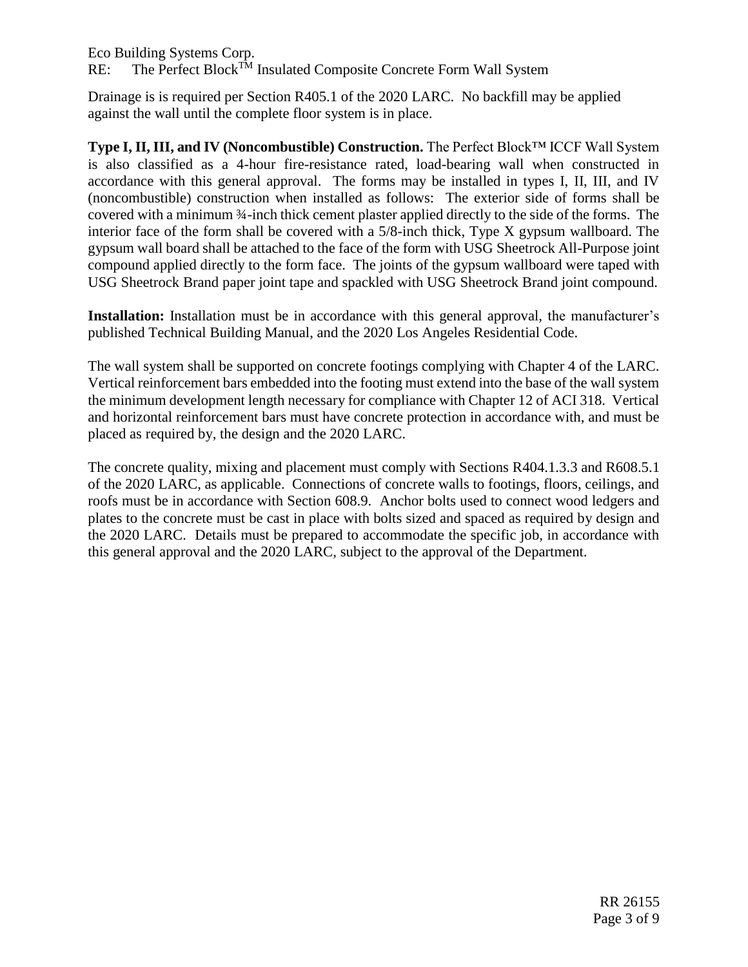Eco Building Systems Corp. RE: The Perfect Block<sup>TM</sup> Insulated Composite Concrete Form Wall System

Drainage is is required per Section R405.1 of the 2020 LARC. No backfill may be applied against the wall until the complete floor system is in place.

**Type I, II, III, and IV (Noncombustible) Construction.** The Perfect Block™ ICCF Wall System is also classified as a 4-hour fire-resistance rated, load-bearing wall when constructed in accordance with this general approval. The forms may be installed in types I, II, III, and IV (noncombustible) construction when installed as follows: The exterior side of forms shall be covered with a minimum ¾-inch thick cement plaster applied directly to the side of the forms. The interior face of the form shall be covered with a 5/8-inch thick, Type X gypsum wallboard. The gypsum wall board shall be attached to the face of the form with USG Sheetrock All-Purpose joint compound applied directly to the form face. The joints of the gypsum wallboard were taped with USG Sheetrock Brand paper joint tape and spackled with USG Sheetrock Brand joint compound.

**Installation:** Installation must be in accordance with this general approval, the manufacturer's published Technical Building Manual, and the 2020 Los Angeles Residential Code.

The wall system shall be supported on concrete footings complying with Chapter 4 of the LARC. Vertical reinforcement bars embedded into the footing must extend into the base of the wall system the minimum development length necessary for compliance with Chapter 12 of ACI 318. Vertical and horizontal reinforcement bars must have concrete protection in accordance with, and must be placed as required by, the design and the 2020 LARC.

The concrete quality, mixing and placement must comply with Sections R404.1.3.3 and R608.5.1 of the 2020 LARC, as applicable. Connections of concrete walls to footings, floors, ceilings, and roofs must be in accordance with Section 608.9. Anchor bolts used to connect wood ledgers and plates to the concrete must be cast in place with bolts sized and spaced as required by design and the 2020 LARC. Details must be prepared to accommodate the specific job, in accordance with this general approval and the 2020 LARC, subject to the approval of the Department.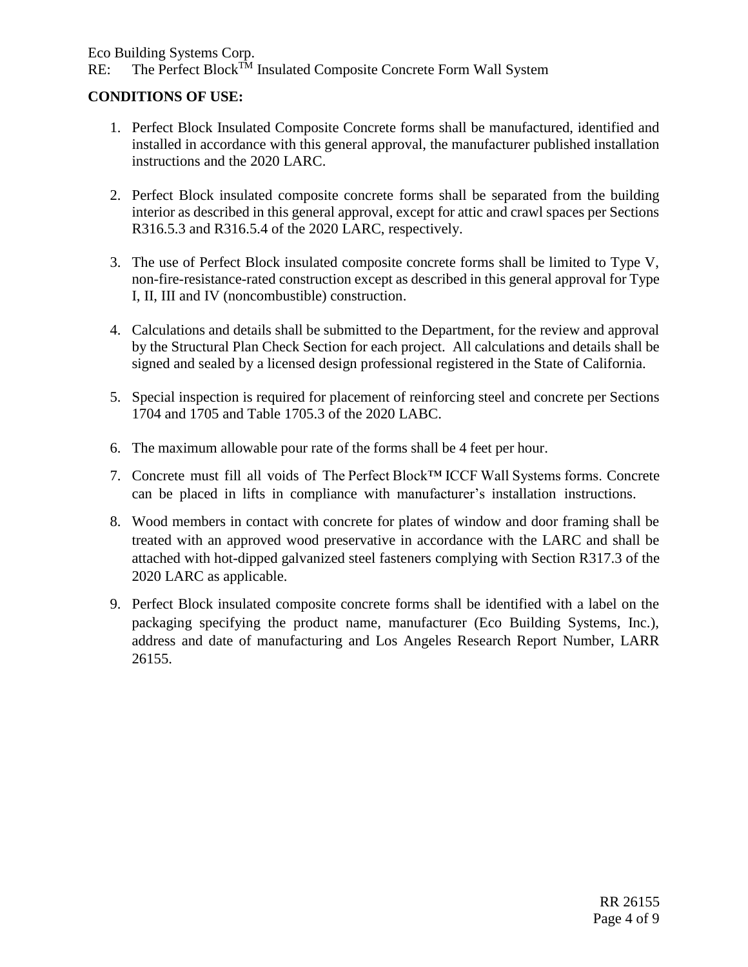Eco Building Systems Corp.

# RE: The Perfect Block<sup>TM</sup> Insulated Composite Concrete Form Wall System

#### **CONDITIONS OF USE:**

- 1. Perfect Block Insulated Composite Concrete forms shall be manufactured, identified and installed in accordance with this general approval, the manufacturer published installation instructions and the 2020 LARC.
- 2. Perfect Block insulated composite concrete forms shall be separated from the building interior as described in this general approval, except for attic and crawl spaces per Sections R316.5.3 and R316.5.4 of the 2020 LARC, respectively.
- 3. The use of Perfect Block insulated composite concrete forms shall be limited to Type V, non-fire-resistance-rated construction except as described in this general approval for Type I, II, III and IV (noncombustible) construction.
- 4. Calculations and details shall be submitted to the Department, for the review and approval by the Structural Plan Check Section for each project. All calculations and details shall be signed and sealed by a licensed design professional registered in the State of California.
- 5. Special inspection is required for placement of reinforcing steel and concrete per Sections 1704 and 1705 and Table 1705.3 of the 2020 LABC.
- 6. The maximum allowable pour rate of the forms shall be 4 feet per hour.
- 7. Concrete must fill all voids of The Perfect Block™ ICCF Wall Systems forms. Concrete can be placed in lifts in compliance with manufacturer's installation instructions.
- 8. Wood members in contact with concrete for plates of window and door framing shall be treated with an approved wood preservative in accordance with the LARC and shall be attached with hot-dipped galvanized steel fasteners complying with Section R317.3 of the 2020 LARC as applicable.
- 9. Perfect Block insulated composite concrete forms shall be identified with a label on the packaging specifying the product name, manufacturer (Eco Building Systems, Inc.), address and date of manufacturing and Los Angeles Research Report Number, LARR 26155.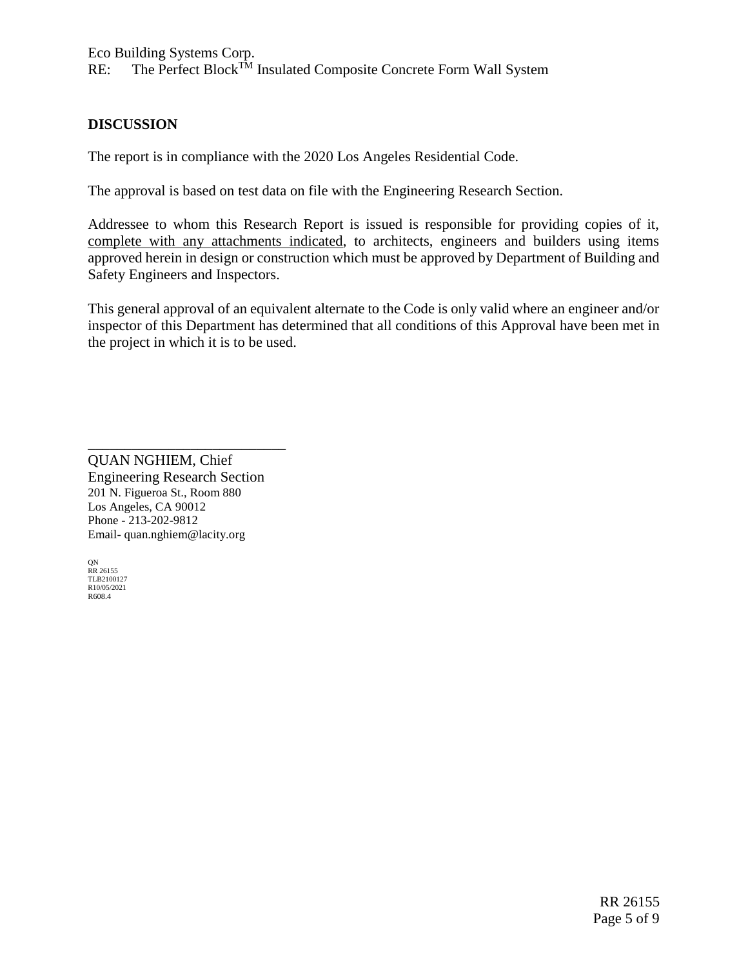## **DISCUSSION**

The report is in compliance with the 2020 Los Angeles Residential Code.

The approval is based on test data on file with the Engineering Research Section.

Addressee to whom this Research Report is issued is responsible for providing copies of it, complete with any attachments indicated, to architects, engineers and builders using items approved herein in design or construction which must be approved by Department of Building and Safety Engineers and Inspectors.

This general approval of an equivalent alternate to the Code is only valid where an engineer and/or inspector of this Department has determined that all conditions of this Approval have been met in the project in which it is to be used.

\_\_\_\_\_\_\_\_\_\_\_\_\_\_\_\_\_\_\_\_\_\_\_\_\_\_\_ QUAN NGHIEM, Chief Engineering Research Section 201 N. Figueroa St., Room 880 Los Angeles, CA 90012 Phone - 213-202-9812 Email- quan.nghiem@lacity.org

QN RR 26155 TLB2100127 R<sub>10</sub>/05/2021 R608.4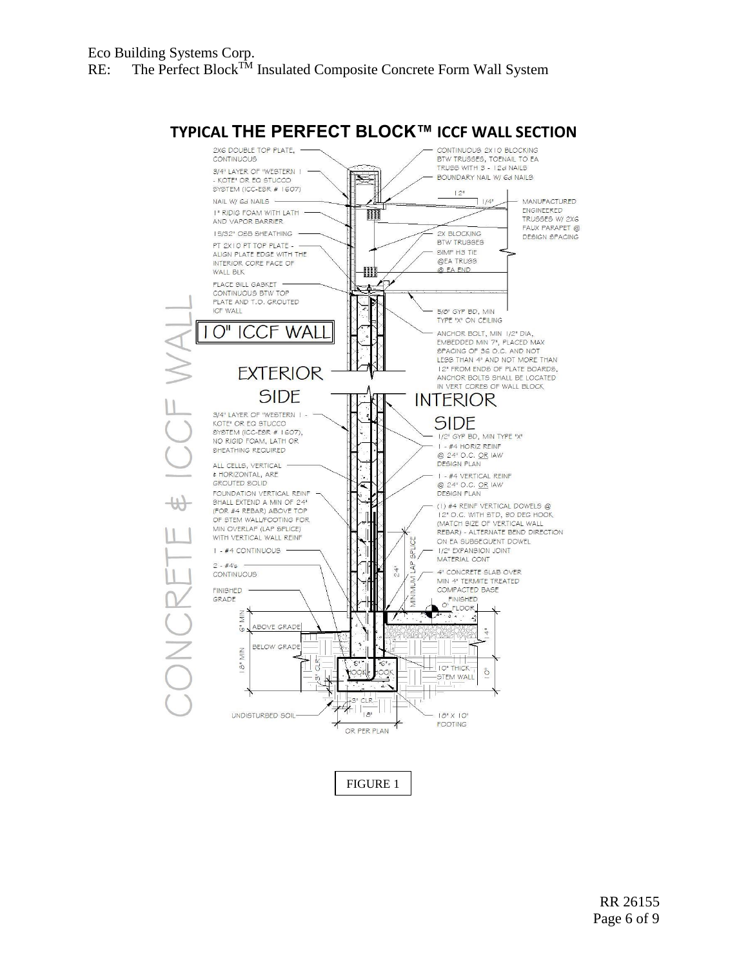

RR 26155 Page 6 of 9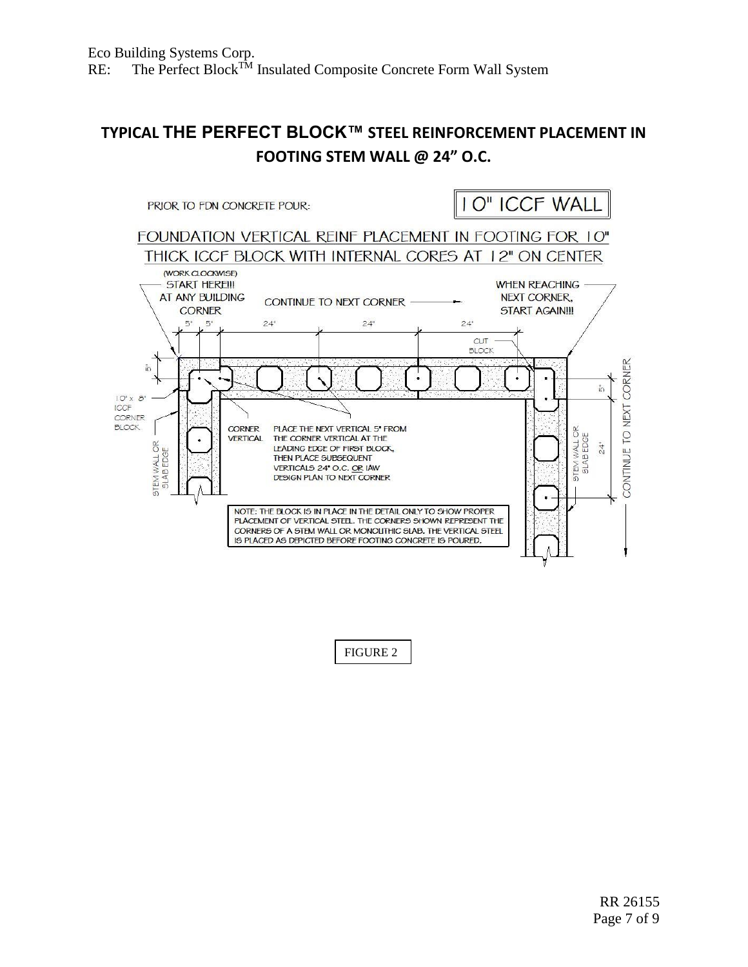# **TYPICAL THE PERFECT BLOCK™ STEEL REINFORCEMENT PLACEMENT IN FOOTING STEM WALL @ 24" O.C.**



FIGURE 2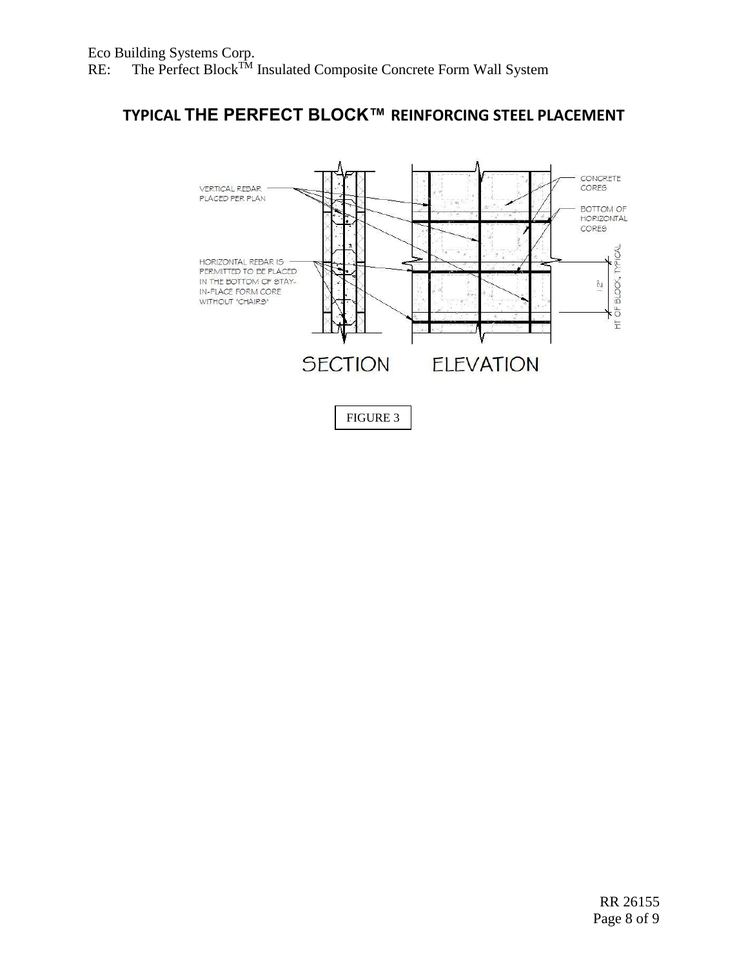